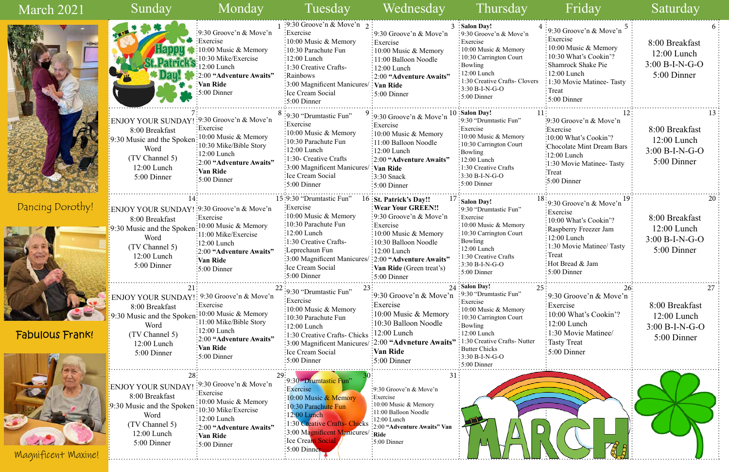| $\overline{4}$<br>9:30 Groove'n & Move'n<br>Exercise<br>10:00 Music & Memory<br>10:30 What's Cookin'?<br><b>Shamrock Shake Pie</b><br>12:00 Lunch<br>1:30 Movie Matinee-Tasty<br>Treat<br>5:00 Dinner | 6<br>8:00 Breakfast<br>$12:00$ Lunch<br>$3:00 B-I-N-G-O$<br>5:00 Dinner  |
|-------------------------------------------------------------------------------------------------------------------------------------------------------------------------------------------------------|--------------------------------------------------------------------------|
| -1<br>12<br>9:30 Groove'n & Move'n<br>Exercise:<br>10:00 What's Cookin'?<br><b>Chocolate Mint Dream Bars</b><br>12:00 Lunch<br>1:30 Movie Matinee-Tasty<br>:Treat<br>5:00 Dinner                      | 13<br>8:00 Breakfast<br>$12:00$ Lunch<br>$3:00 B-I-N-G-O$<br>5:00 Dinner |
| .<br>$8 \,$<br>19<br>9:30 Groove'n & Move'n<br>Exercise<br>10:00 What's Cookin'?<br>Raspberry Freezer Jam<br>12:00 Lunch<br>1:30 Movie Matinee/ Tasty<br>Treat<br>Hot Bread & Jam<br>5:00 Dinner      | 20<br>8:00 Breakfast<br>$12:00$ Lunch<br>$3:00 B-I-N-G-O$<br>5:00 Dinner |
| 5<br>26:<br>9:30 Groove'n & Move'n<br>Exercise<br>10:00 What's Cookin'?<br>$12:00$ Lunch<br>1:30 Movie Matinee/<br><b>Tasty Treat</b><br>5:00 Dinner                                                  | 27<br>8:00 Breakfast<br>$12:00$ Lunch<br>$3:00 B-I-N-G-O$<br>5:00 Dinner |
|                                                                                                                                                                                                       |                                                                          |

| March 2021             | Sunday                                                                                                                                                                    | Monday                                                                                                                                                                                  | Tuesday                                                                                                                                                                                                                                                                                                  | Wednesday                                                                                                                                                                                                                                          | Thursday                                                                                                                                                                                                                                                                  | Friday                                                                                                                                                                                                              | Saturday                                                                           |
|------------------------|---------------------------------------------------------------------------------------------------------------------------------------------------------------------------|-----------------------------------------------------------------------------------------------------------------------------------------------------------------------------------------|----------------------------------------------------------------------------------------------------------------------------------------------------------------------------------------------------------------------------------------------------------------------------------------------------------|----------------------------------------------------------------------------------------------------------------------------------------------------------------------------------------------------------------------------------------------------|---------------------------------------------------------------------------------------------------------------------------------------------------------------------------------------------------------------------------------------------------------------------------|---------------------------------------------------------------------------------------------------------------------------------------------------------------------------------------------------------------------|------------------------------------------------------------------------------------|
|                        |                                                                                                                                                                           | :9:30 Groove'n & Move'n<br>Exercise<br>10:00 Music & Memory<br>:10:30 Mike/Exercise<br>$12:00$ Lunch<br>:2:00 "Adventure Awaits"<br>Van Ride<br>$\frac{1}{2}5:00$ Dinner                | $\frac{1}{2}$ 9:30 Groove'n & Move'n $\frac{1}{2}$<br>Exercise:<br>:10:00 Music & Memory<br>:10:30 Parachute Fun<br>$\frac{1}{2}12:00$ Lunch<br>$\frac{1}{2}$ :1:30 Creative Crafts-<br>:Rainbows<br>$\frac{1}{2}3.00$ Magnificent Manicures/ $\frac{1}{2}$ Van Ride<br>Ice Cream Social<br>:5:00 Dinner | :9:30 Groove'n & Move'n<br>Exercise<br>$\frac{1}{2}10:00$ Music & Memory<br>: 11:00 Balloon Noodle<br>$:12:00$ Lunch<br>: 2:00 "Adventure Awaits"<br>$:5:00$ Dinner                                                                                | 3 :Salon Day!<br>:9:30 Groove'n $& \text{Move'}n$<br>: Exercise<br>: 10:00 Music & Memory<br>: 10:30 Carrington Court<br>: Bowling<br>$: 12:00$ Lunch<br>1:30 Creative Crafts- Clovers<br>$3:30 B-I-N-G-O$<br>:5:00 Dinner                                                | 9:30 Groove'n & Move'n $\frac{5}{3}$<br>: Exercise<br>:10:00 Music & Memory<br>$\frac{1}{2}10:30$ What's Cookin'?<br>Shamrock Shake Pie<br>$:12:00$ Lunch<br>:1:30 Movie Matinee-Tasty<br>: Treat<br>$:5:00$ Dinner | 8:00 Breakfast<br>$12:00$ Lunch<br>$3:00 B-I-N-G-O$<br>5:00 Dinner                 |
|                        | ENJOY YOUR SUNDAY! : 9:30 Groove'n & Move'n<br>8:00 Breakfast<br>9:30 Music and the Spoken<br>Word<br>(TV Channel 5)<br>$12:00$ Lunch<br>5:00 Dinner                      | :Exercise<br>$\frac{10:00 \text{ Music } \& \text{Memory}}$<br>$\frac{1}{2}$ :10:30 Mike/Bible Story<br>$:12:00$ Lunch<br>:2:00 "Adventure Awaits"<br>Van Ride<br>$:5:00$ Dinner        | $8:9:30$ "Drumtastic Fun"<br>:Exercise<br>:10:00 Music & Memory<br>10:30 Parachute Fun<br>$:12:00$ Lunch<br>:1:30- Creative Crafts<br>3:00 Magnificent Manicures/<br>Ice Cream Social<br>$:5:00$ Dinner                                                                                                  | :9:30 Groove'n & Move'n<br>Exercise<br>$\frac{1}{2}10:00$ Music & Memory<br>:11:00 Balloon Noodle<br>$:12:00$ Lunch<br>:2:00 "Adventure Awaits"<br>Van Ride<br>$\frac{1}{2}$ :30 Snack<br>$\frac{1}{2}$ :00 Dinner                                 | 10 Salon Day!<br>:9:30 "Drumtastic Fun"<br>Exercise<br>$\frac{1}{2}10:00$ Music & Memory<br>$\frac{1}{2}10:30$ Carrington Court<br>Bowling<br>$\frac{1}{2}12:00$ Lunch<br>$\frac{1}{2}$ 1:30 Creative Crafts<br>$\frac{1}{2}$ 3:30 B-I-N-G-O<br>$\frac{1}{2}$ 5:00 Dinner | 9:30 Groove'n & Move'n<br>:Exercise<br>:10:00 What's Cookin'?<br>Chocolate Mint Dream Bars<br>$:12:00$ Lunch<br>:1:30 Movie Matinee-Tasty<br>Treat<br>$\frac{1}{2}$ :00 Dinner                                      | 8:00 Breakfast<br>$12:00$ Lunch<br>$3:00 B-I-N-G-O$<br>5:00 Dinner                 |
| Dancing Dorothy!       | ENJOY YOUR SUNDAY! : 9:30 Groove'n & Move'n<br>8:00 Breakfast<br>:9:30 Music and the Spoken: 10:00 Music & Memory<br>Word<br>(TV Channel 5)<br>12:00 Lunch<br>5:00 Dinner | Exercise<br>$:11:00$ Mike/Exercise<br>$\frac{12:00}{2}$ Lunch<br>:2:00 "Adventure Awaits"<br>:Van Ride<br>$\frac{1}{2}$ :00 Dinner                                                      | 15:9:30 "Drumtastic Fun"<br>Exercise:<br>:10:00 Music & Memory<br>10:30 Parachute Fun<br>$:12:00$ Lunch<br>:1:30 Creative Crafts-<br>Leprechaun Fun-<br>:3:00 Magnificent Manicures/ :2:00 "Adventure Awaits"<br>Ice Cream Social<br>:5:00 Dinner                                                        | $16:$ St. Patrick's Day!!<br><b>Wear Your GREEN!!</b><br>:9:30 Groove'n $& \text{Move'}n$<br>: Exercise<br>$\frac{10:00 \text{ Music } \& \text{Memory}}$<br>:10:30 Balloon Noodle<br>$:12:00$ Lunch<br>Van Ride (Green treat's)<br>$:5:00$ Dinner | $1/$ : Salon Day!<br>:9:30 "Drumtastic Fun"<br>Exercise<br>$\frac{1}{2}10:00$ Music & Memory<br>:10:30 Carrington Court<br>$:$ Bowling<br>$\frac{1}{2}12:00$ Lunch<br>$\frac{1}{2}$ 1:30 Creative Crafts<br>$\frac{1}{2}$ 3:30 B-I-N-G-O<br>$\frac{1}{2}$ 5:00 Dinner     | $\frac{1}{2}9:30$ Groove'n & Move'n<br>Exercise<br>$:10:00$ What's Cookin'?<br>Raspberry Freezer Jam<br>12:00 Lunch<br>$: 1:30$ Movie Matinee/ Tasty<br>Treat<br>Hot Bread & Jam<br>$\frac{1}{2}$ :00 Dinner        | $20^{\circ}$<br>8:00 Breakfast<br>$12:00$ Lunch<br>$3:00 B-I-N-G-O$<br>5:00 Dinner |
| <b>Fabulous Frank!</b> | ENJOY YOUR SUNDAY!: 9:30 Groove'n & Move'n<br>8:00 Breakfast<br>9:30 Music and the Spoken<br>Word<br>(TV Channel 5)<br>$12:00$ Lunch<br>5:00 Dinner                       | Exercise<br>$\frac{1}{2}10:00$ Music & Memory<br>$\therefore$ 11:00 Mike/Bible Story<br>$:12:00$ Lunch<br>:2:00 "Adventure Awaits"<br>Van Ride<br>:5:00 Dinner                          | :9:30 "Drumtastic Fun"<br>:Exercise<br>$\frac{10:00 \text{ Music} \& \text{Memory}}$<br>10:30 Parachute Fun<br>$:12:00$ Lunch<br>1:30 Creative Crafts- Chicks : 12:00 Lunch<br>:3:00 Magnificent Manicures/:2:00 "Advneture Awaits":1:30 Creative Crafts-Nutter<br>Ice Cream Social<br>$:5:00$ Dinner    | $\frac{1}{2}9.30$ Groove'n & Move'n<br>:Exercise<br>$\pm 10:00$ Music & Memory<br>:10:30 Balloon Noodle<br>Van Ride<br>$\frac{1}{2}$ :00 Dinner                                                                                                    | 24 Salon Day!<br>25.<br>:9:30 "Drumtastic Fun"<br>: Exercise<br>: 10:00 Music & Memory<br>:10:30 Carrington Court<br>: Bowling<br>$:12:00$ Lunch<br><b>Butter Chicks</b><br>$:3:30 B-I-N-G-O$<br>$\frac{1}{2}$ 5:00 Dinner                                                | $\approx$ 9:30 Groove'n & Move'n<br>Exercise:<br>10:00 What's Cookin'?<br>$12:00$ Lunch<br>1:30 Movie Matinee/<br>Tasty Treat<br>$\frac{1}{2}$ 5:00 Dinner                                                          | 8:00 Breakfast<br>$12:00$ Lunch<br>$3:00 B-I-N-G-O$<br>5:00 Dinner                 |
| Magnificent Maxine!    | ENJOY YOUR SUNDAY!<br>8:00 Breakfast<br>:30 Music and the Spoken<br>Word<br>(TV Channel 5)<br>12:00 Lunch<br>5:00 Dinner                                                  | :9:30 Groove'n $\&$ Move'n<br>Exercise<br>$\frac{1}{2}10:00$ Music & Memory<br>$\approx$ 10:30 Mike/Exercise<br>:12:00 Lunch<br>:2:00 "Adventure Awaits"<br>Van Ride:<br>$:5:00$ Dinner | :9:30 "Drumtastic Fun"<br>Exercise<br>10:00 Music & Memory<br>10:30 Parachute Fun<br>$: 12:00$ Lunch<br>:1:30 Creative Crafts-Chicks :2:00 "Adventure Awaits" Van<br>:3:00 Magnificent Manicures/<br>Ice Cream Social<br>5:00 Dinner                                                                     | 31:<br>:9:30 Groove'n & Move'n<br>Exercise<br>$\frac{1}{2}10:00$ Music & Memory<br>:11:00 Balloon Noodle<br>$:12:00$ Lunch<br>$:$ Ride<br>:5:00 Dinner                                                                                             |                                                                                                                                                                                                                                                                           |                                                                                                                                                                                                                     |                                                                                    |

B

**A BURNICAR MARKET** 

**Mars** 

S.

| Saturday |  |  |
|----------|--|--|
|          |  |  |